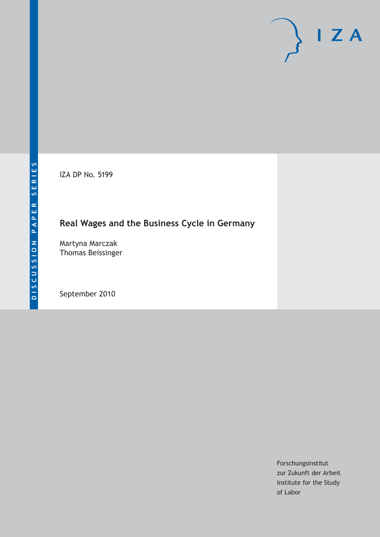IZA DP No. 5199

## **Real Wages and the Business Cycle in Germany**

Martyna Marczak Thomas Beissinger

September 2010

Forschungsinstitut zur Zukunft der Arbeit Institute for the Study of Labor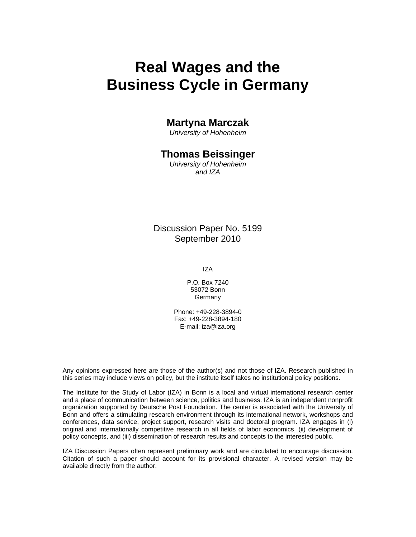# **Real Wages and the Business Cycle in Germany**

### **Martyna Marczak**

*University of Hohenheim* 

### **Thomas Beissinger**

*University of Hohenheim and IZA* 

### Discussion Paper No. 5199 September 2010

IZA

P.O. Box 7240 53072 Bonn Germany

Phone: +49-228-3894-0 Fax: +49-228-3894-180 E-mail: iza@iza.org

Any opinions expressed here are those of the author(s) and not those of IZA. Research published in this series may include views on policy, but the institute itself takes no institutional policy positions.

The Institute for the Study of Labor (IZA) in Bonn is a local and virtual international research center and a place of communication between science, politics and business. IZA is an independent nonprofit organization supported by Deutsche Post Foundation. The center is associated with the University of Bonn and offers a stimulating research environment through its international network, workshops and conferences, data service, project support, research visits and doctoral program. IZA engages in (i) original and internationally competitive research in all fields of labor economics, (ii) development of policy concepts, and (iii) dissemination of research results and concepts to the interested public.

IZA Discussion Papers often represent preliminary work and are circulated to encourage discussion. Citation of such a paper should account for its provisional character. A revised version may be available directly from the author.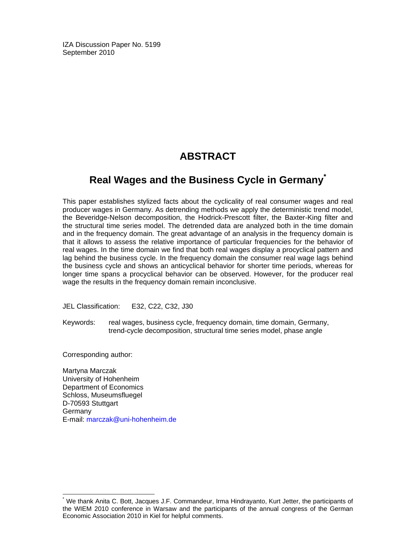IZA Discussion Paper No. 5199 September 2010

### **ABSTRACT**

## **Real Wages and the Business Cycle in Germany\***

This paper establishes stylized facts about the cyclicality of real consumer wages and real producer wages in Germany. As detrending methods we apply the deterministic trend model, the Beveridge-Nelson decomposition, the Hodrick-Prescott filter, the Baxter-King filter and the structural time series model. The detrended data are analyzed both in the time domain and in the frequency domain. The great advantage of an analysis in the frequency domain is that it allows to assess the relative importance of particular frequencies for the behavior of real wages. In the time domain we find that both real wages display a procyclical pattern and lag behind the business cycle. In the frequency domain the consumer real wage lags behind the business cycle and shows an anticyclical behavior for shorter time periods, whereas for longer time spans a procyclical behavior can be observed. However, for the producer real wage the results in the frequency domain remain inconclusive.

JEL Classification: E32, C22, C32, J30

Keywords: real wages, business cycle, frequency domain, time domain, Germany, trend-cycle decomposition, structural time series model, phase angle

Corresponding author:

-

Martyna Marczak University of Hohenheim Department of Economics Schloss, Museumsfluegel D-70593 Stuttgart Germany E-mail: marczak@uni-hohenheim.de

<sup>\*</sup> We thank Anita C. Bott, Jacques J.F. Commandeur, Irma Hindrayanto, Kurt Jetter, the participants of the WIEM 2010 conference in Warsaw and the participants of the annual congress of the German Economic Association 2010 in Kiel for helpful comments.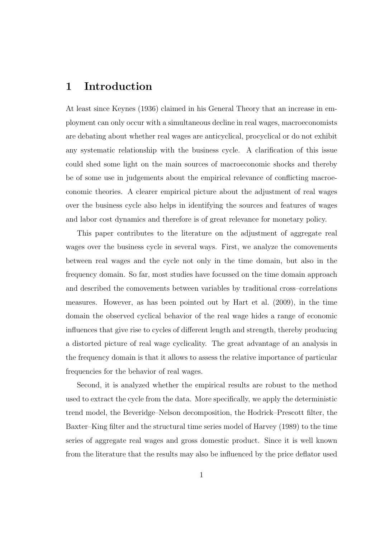### 1 Introduction

At least since Keynes (1936) claimed in his General Theory that an increase in employment can only occur with a simultaneous decline in real wages, macroeconomists are debating about whether real wages are anticyclical, procyclical or do not exhibit any systematic relationship with the business cycle. A clarification of this issue could shed some light on the main sources of macroeconomic shocks and thereby be of some use in judgements about the empirical relevance of conflicting macroeconomic theories. A clearer empirical picture about the adjustment of real wages over the business cycle also helps in identifying the sources and features of wages and labor cost dynamics and therefore is of great relevance for monetary policy.

This paper contributes to the literature on the adjustment of aggregate real wages over the business cycle in several ways. First, we analyze the comovements between real wages and the cycle not only in the time domain, but also in the frequency domain. So far, most studies have focussed on the time domain approach and described the comovements between variables by traditional cross–correlations measures. However, as has been pointed out by Hart et al. (2009), in the time domain the observed cyclical behavior of the real wage hides a range of economic influences that give rise to cycles of different length and strength, thereby producing a distorted picture of real wage cyclicality. The great advantage of an analysis in the frequency domain is that it allows to assess the relative importance of particular frequencies for the behavior of real wages.

Second, it is analyzed whether the empirical results are robust to the method used to extract the cycle from the data. More specifically, we apply the deterministic trend model, the Beveridge–Nelson decomposition, the Hodrick–Prescott filter, the Baxter–King filter and the structural time series model of Harvey (1989) to the time series of aggregate real wages and gross domestic product. Since it is well known from the literature that the results may also be influenced by the price deflator used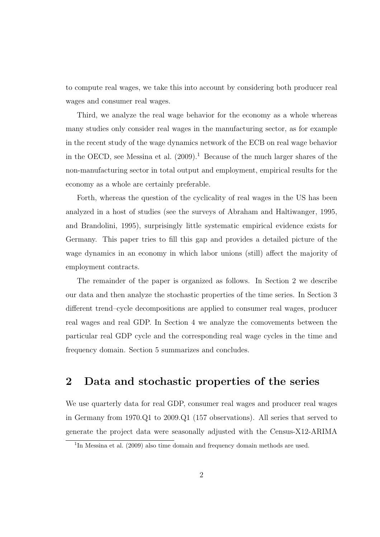to compute real wages, we take this into account by considering both producer real wages and consumer real wages.

Third, we analyze the real wage behavior for the economy as a whole whereas many studies only consider real wages in the manufacturing sector, as for example in the recent study of the wage dynamics network of the ECB on real wage behavior in the OECD, see Messina et al.  $(2009)^1$  Because of the much larger shares of the non-manufacturing sector in total output and employment, empirical results for the economy as a whole are certainly preferable.

Forth, whereas the question of the cyclicality of real wages in the US has been analyzed in a host of studies (see the surveys of Abraham and Haltiwanger, 1995, and Brandolini, 1995), surprisingly little systematic empirical evidence exists for Germany. This paper tries to fill this gap and provides a detailed picture of the wage dynamics in an economy in which labor unions (still) affect the majority of employment contracts.

The remainder of the paper is organized as follows. In Section 2 we describe our data and then analyze the stochastic properties of the time series. In Section 3 different trend–cycle decompositions are applied to consumer real wages, producer real wages and real GDP. In Section 4 we analyze the comovements between the particular real GDP cycle and the corresponding real wage cycles in the time and frequency domain. Section 5 summarizes and concludes.

## 2 Data and stochastic properties of the series

We use quarterly data for real GDP, consumer real wages and producer real wages in Germany from 1970.Q1 to 2009.Q1 (157 observations). All series that served to generate the project data were seasonally adjusted with the Census-X12-ARIMA

<sup>&</sup>lt;sup>1</sup>In Messina et al. (2009) also time domain and frequency domain methods are used.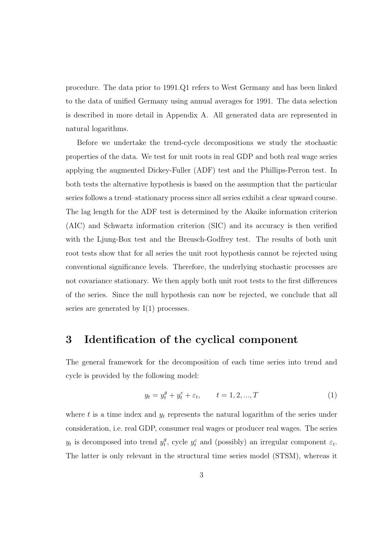procedure. The data prior to 1991.Q1 refers to West Germany and has been linked to the data of unified Germany using annual averages for 1991. The data selection is described in more detail in Appendix A. All generated data are represented in natural logarithms.

Before we undertake the trend-cycle decompositions we study the stochastic properties of the data. We test for unit roots in real GDP and both real wage series applying the augmented Dickey-Fuller (ADF) test and the Phillips-Perron test. In both tests the alternative hypothesis is based on the assumption that the particular series follows a trend–stationary process since all series exhibit a clear upward course. The lag length for the ADF test is determined by the Akaike information criterion (AIC) and Schwartz information criterion (SIC) and its accuracy is then verified with the Ljung-Box test and the Breusch-Godfrey test. The results of both unit root tests show that for all series the unit root hypothesis cannot be rejected using conventional significance levels. Therefore, the underlying stochastic processes are not covariance stationary. We then apply both unit root tests to the first differences of the series. Since the null hypothesis can now be rejected, we conclude that all series are generated by  $I(1)$  processes.

### 3 Identification of the cyclical component

The general framework for the decomposition of each time series into trend and cycle is provided by the following model:

$$
y_t = y_t^g + y_t^c + \varepsilon_t, \qquad t = 1, 2, ..., T
$$
 (1)

where t is a time index and  $y_t$  represents the natural logarithm of the series under consideration, i.e. real GDP, consumer real wages or producer real wages. The series  $y_t$  is decomposed into trend  $y_t^g$  $t_t^g$ , cycle  $y_t^c$  and (possibly) an irregular component  $\varepsilon_t$ . The latter is only relevant in the structural time series model (STSM), whereas it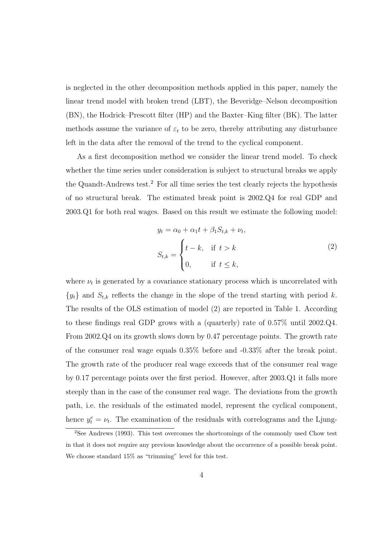is neglected in the other decomposition methods applied in this paper, namely the linear trend model with broken trend (LBT), the Beveridge–Nelson decomposition (BN), the Hodrick–Prescott filter (HP) and the Baxter–King filter (BK). The latter methods assume the variance of  $\varepsilon_t$  to be zero, thereby attributing any disturbance left in the data after the removal of the trend to the cyclical component.

As a first decomposition method we consider the linear trend model. To check whether the time series under consideration is subject to structural breaks we apply the Quandt-Andrews test.<sup>2</sup> For all time series the test clearly rejects the hypothesis of no structural break. The estimated break point is 2002.Q4 for real GDP and 2003.Q1 for both real wages. Based on this result we estimate the following model:

$$
y_t = \alpha_0 + \alpha_1 t + \beta_1 S_{t,k} + \nu_t,
$$
  
\n
$$
S_{t,k} = \begin{cases} t - k, & \text{if } t > k \\ 0, & \text{if } t \le k, \end{cases}
$$
\n(2)

where  $\nu_t$  is generated by a covariance stationary process which is uncorrelated with  $\{y_t\}$  and  $S_{t,k}$  reflects the change in the slope of the trend starting with period k. The results of the OLS estimation of model (2) are reported in Table 1. According to these findings real GDP grows with a (quarterly) rate of 0.57% until 2002.Q4. From 2002.Q4 on its growth slows down by 0.47 percentage points. The growth rate of the consumer real wage equals 0.35% before and -0.33% after the break point. The growth rate of the producer real wage exceeds that of the consumer real wage by 0.17 percentage points over the first period. However, after 2003.Q1 it falls more steeply than in the case of the consumer real wage. The deviations from the growth path, i.e. the residuals of the estimated model, represent the cyclical component, hence  $y_t^c = v_t$ . The examination of the residuals with correlograms and the Ljung-

<sup>&</sup>lt;sup>2</sup>See Andrews (1993). This test overcomes the shortcomings of the commonly used Chow test in that it does not require any previous knowledge about the occurrence of a possible break point. We choose standard 15% as "trimming" level for this test.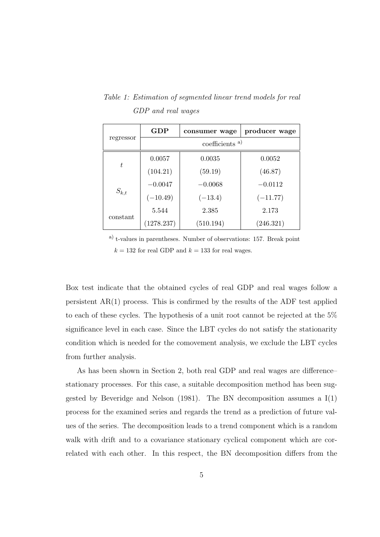Table 1: Estimation of segmented linear trend models for real GDP and real wages

|           | <b>GDP</b>                 | consumer wage | producer wage |  |  |  |  |  |
|-----------|----------------------------|---------------|---------------|--|--|--|--|--|
| regressor | coefficients <sup>a)</sup> |               |               |  |  |  |  |  |
|           | 0.0057                     | 0.0035        | 0.0052        |  |  |  |  |  |
| $t\,$     | (104.21)                   | (59.19)       | (46.87)       |  |  |  |  |  |
| $S_{k,t}$ | $-0.0047$                  | $-0.0068$     | $-0.0112$     |  |  |  |  |  |
|           | $(-10.49)$                 | $(-13.4)$     | $(-11.77)$    |  |  |  |  |  |
| constant  | 5.544                      | 2.385         | 2.173         |  |  |  |  |  |
|           | (1278.237)                 | (510.194)     | (246.321)     |  |  |  |  |  |

a) t-values in parentheses. Number of observations: 157. Break point  $k = 132$  for real GDP and  $k = 133$  for real wages.

Box test indicate that the obtained cycles of real GDP and real wages follow a persistent  $AR(1)$  process. This is confirmed by the results of the ADF test applied to each of these cycles. The hypothesis of a unit root cannot be rejected at the 5% significance level in each case. Since the LBT cycles do not satisfy the stationarity condition which is needed for the comovement analysis, we exclude the LBT cycles from further analysis.

As has been shown in Section 2, both real GDP and real wages are difference– stationary processes. For this case, a suitable decomposition method has been suggested by Beveridge and Nelson  $(1981)$ . The BN decomposition assumes a I $(1)$ process for the examined series and regards the trend as a prediction of future values of the series. The decomposition leads to a trend component which is a random walk with drift and to a covariance stationary cyclical component which are correlated with each other. In this respect, the BN decomposition differs from the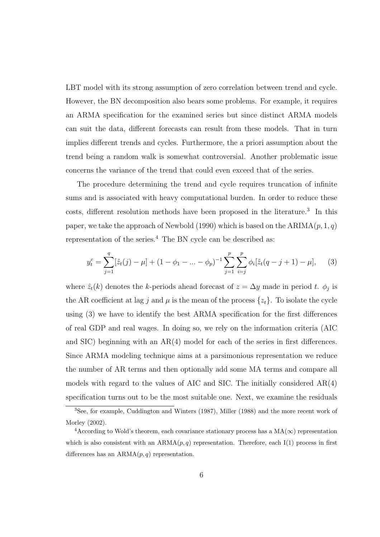LBT model with its strong assumption of zero correlation between trend and cycle. However, the BN decomposition also bears some problems. For example, it requires an ARMA specification for the examined series but since distinct ARMA models can suit the data, different forecasts can result from these models. That in turn implies different trends and cycles. Furthermore, the a priori assumption about the trend being a random walk is somewhat controversial. Another problematic issue concerns the variance of the trend that could even exceed that of the series.

The procedure determining the trend and cycle requires truncation of infinite sums and is associated with heavy computational burden. In order to reduce these costs, different resolution methods have been proposed in the literature.<sup>3</sup> In this paper, we take the approach of Newbold (1990) which is based on the ARIMA $(p, 1, q)$ representation of the series.<sup>4</sup> The BN cycle can be described as:

$$
y_t^c = \sum_{j=1}^q [\hat{z}_t(j) - \mu] + (1 - \phi_1 - \dots - \phi_p)^{-1} \sum_{j=1}^p \sum_{i=j}^p \phi_i [\hat{z}_t(q - j + 1) - \mu], \quad (3)
$$

where  $\hat{z}_t(k)$  denotes the k-periods ahead forecast of  $z = \Delta y$  made in period t.  $\phi_j$  is the AR coefficient at lag j and  $\mu$  is the mean of the process  $\{z_t\}$ . To isolate the cycle using (3) we have to identify the best ARMA specification for the first differences of real GDP and real wages. In doing so, we rely on the information criteria (AIC and SIC) beginning with an AR(4) model for each of the series in first differences. Since ARMA modeling technique aims at a parsimonious representation we reduce the number of AR terms and then optionally add some MA terms and compare all models with regard to the values of AIC and SIC. The initially considered AR(4) specification turns out to be the most suitable one. Next, we examine the residuals

<sup>3</sup>See, for example, Cuddington and Winters (1987), Miller (1988) and the more recent work of Morley (2002).

<sup>&</sup>lt;sup>4</sup>According to Wold's theorem, each covariance stationary process has a  $MA(\infty)$  representation which is also consistent with an  $ARMA(p, q)$  representation. Therefore, each I(1) process in first differences has an  $ARMA(p, q)$  representation.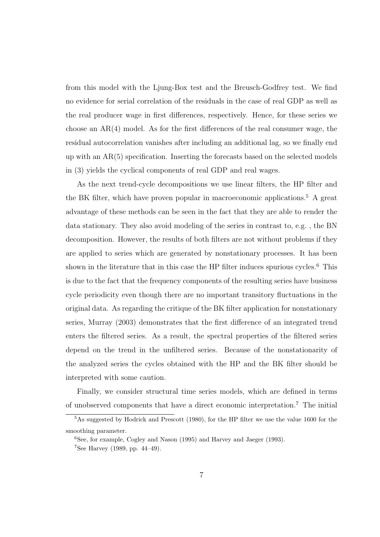from this model with the Ljung-Box test and the Breusch-Godfrey test. We find no evidence for serial correlation of the residuals in the case of real GDP as well as the real producer wage in first differences, respectively. Hence, for these series we choose an AR(4) model. As for the first differences of the real consumer wage, the residual autocorrelation vanishes after including an additional lag, so we finally end up with an AR(5) specification. Inserting the forecasts based on the selected models in (3) yields the cyclical components of real GDP and real wages.

As the next trend-cycle decompositions we use linear filters, the HP filter and the BK filter, which have proven popular in macroeconomic applications.<sup>5</sup> A great advantage of these methods can be seen in the fact that they are able to render the data stationary. They also avoid modeling of the series in contrast to, e.g. , the BN decomposition. However, the results of both filters are not without problems if they are applied to series which are generated by nonstationary processes. It has been shown in the literature that in this case the HP filter induces spurious cycles.<sup>6</sup> This is due to the fact that the frequency components of the resulting series have business cycle periodicity even though there are no important transitory fluctuations in the original data. As regarding the critique of the BK filter application for nonstationary series, Murray (2003) demonstrates that the first difference of an integrated trend enters the filtered series. As a result, the spectral properties of the filtered series depend on the trend in the unfiltered series. Because of the nonstationarity of the analyzed series the cycles obtained with the HP and the BK filter should be interpreted with some caution.

Finally, we consider structural time series models, which are defined in terms of unobserved components that have a direct economic interpretation.<sup>7</sup> The initial

<sup>5</sup>As suggested by Hodrick and Prescott (1980), for the HP filter we use the value 1600 for the smoothing parameter.

<sup>6</sup>See, for example, Cogley and Nason (1995) and Harvey and Jaeger (1993).

<sup>&</sup>lt;sup>7</sup>See Harvey (1989, pp. 44–49).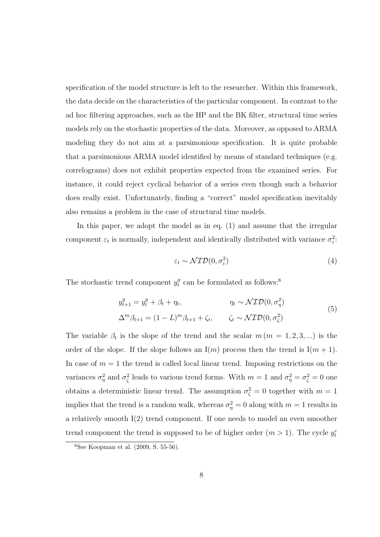specification of the model structure is left to the researcher. Within this framework, the data decide on the characteristics of the particular component. In contrast to the ad hoc filtering approaches, such as the HP and the BK filter, structural time series models rely on the stochastic properties of the data. Moreover, as opposed to ARMA modeling they do not aim at a parsimonious specification. It is quite probable that a parsimonious ARMA model identified by means of standard techniques (e.g. correlograms) does not exhibit properties expected from the examined series. For instance, it could reject cyclical behavior of a series even though such a behavior does really exist. Unfortunately, finding a "correct" model specification inevitably also remains a problem in the case of structural time models.

In this paper, we adopt the model as in eq. (1) and assume that the irregular component  $\varepsilon_t$  is normally, independent and identically distributed with variance  $\sigma_{\varepsilon}^2$ .

$$
\varepsilon_t \sim \mathcal{NID}(0, \sigma_\varepsilon^2) \tag{4}
$$

The stochastic trend component  $y_t^g$  $t_t^g$  can be formulated as follows:<sup>8</sup>

$$
y_{t+1}^g = y_t^g + \beta_t + \eta_t, \qquad \eta_t \sim \mathcal{NID}(0, \sigma_\eta^2)
$$
  

$$
\Delta^m \beta_{t+1} = (1 - L)^m \beta_{t+1} + \zeta_t, \qquad \zeta_t \sim \mathcal{NID}(0, \sigma_\zeta^2)
$$
 (5)

The variable  $\beta_t$  is the slope of the trend and the scalar  $m (m = 1, 2, 3, ...)$  is the order of the slope. If the slope follows an  $I(m)$  process then the trend is  $I(m + 1)$ . In case of  $m = 1$  the trend is called local linear trend. Imposing restrictions on the variances  $\sigma_{\eta}^2$  and  $\sigma_{\zeta}^2$  leads to various trend forms. With  $m=1$  and  $\sigma_{\eta}^2=\sigma_{\zeta}^2=0$  one obtains a deterministic linear trend. The assumption  $\sigma_{\zeta}^2 = 0$  together with  $m = 1$ implies that the trend is a random walk, whereas  $\sigma_{\eta}^2 = 0$  along with  $m = 1$  results in a relatively smooth I(2) trend component. If one needs to model an even smoother trend component the trend is supposed to be of higher order  $(m > 1)$ . The cycle  $y_t^c$ 

<sup>8</sup>See Koopman et al. (2009, S. 55-56).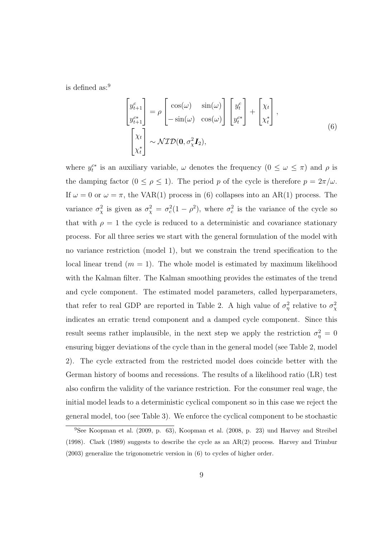is defined as:<sup>9</sup>

$$
\begin{bmatrix} y_{t+1}^c \\ y_{t+1}^{c*} \\ \vdots \\ y_{t+1}^{c*} \end{bmatrix} = \rho \begin{bmatrix} \cos(\omega) & \sin(\omega) \\ -\sin(\omega) & \cos(\omega) \end{bmatrix} \begin{bmatrix} y_t^c \\ y_t^{c*} \end{bmatrix} + \begin{bmatrix} \chi_t \\ \chi_t^* \end{bmatrix},
$$
\n
$$
\begin{bmatrix} \chi_t \\ \chi_t^* \end{bmatrix} \sim \mathcal{NID}(\mathbf{0}, \sigma_\chi^2 \mathbf{I}_2),
$$
\n(6)

where  $y_t^{c*}$  is an auxiliary variable,  $\omega$  denotes the frequency  $(0 \le \omega \le \pi)$  and  $\rho$  is the damping factor  $(0 \le \rho \le 1)$ . The period p of the cycle is therefore  $p = 2\pi/\omega$ . If  $\omega = 0$  or  $\omega = \pi$ , the VAR(1) process in (6) collapses into an AR(1) process. The variance  $\sigma_{\chi}^2$  is given as  $\sigma_{\chi}^2 = \sigma_c^2(1-\rho^2)$ , where  $\sigma_c^2$  is the variance of the cycle so that with  $\rho = 1$  the cycle is reduced to a deterministic and covariance stationary process. For all three series we start with the general formulation of the model with no variance restriction (model 1), but we constrain the trend specification to the local linear trend  $(m = 1)$ . The whole model is estimated by maximum likelihood with the Kalman filter. The Kalman smoothing provides the estimates of the trend and cycle component. The estimated model parameters, called hyperparameters, that refer to real GDP are reported in Table 2. A high value of  $\sigma_{\eta}^2$  relative to  $\sigma_{\chi}^2$ indicates an erratic trend component and a damped cycle component. Since this result seems rather implausible, in the next step we apply the restriction  $\sigma_{\eta}^2 = 0$ ensuring bigger deviations of the cycle than in the general model (see Table 2, model 2). The cycle extracted from the restricted model does coincide better with the German history of booms and recessions. The results of a likelihood ratio (LR) test also confirm the validity of the variance restriction. For the consumer real wage, the initial model leads to a deterministic cyclical component so in this case we reject the general model, too (see Table 3). We enforce the cyclical component to be stochastic

<sup>9</sup>See Koopman et al. (2009, p. 63), Koopman et al. (2008, p. 23) und Harvey and Streibel (1998). Clark (1989) suggests to describe the cycle as an AR(2) process. Harvey and Trimbur (2003) generalize the trigonometric version in (6) to cycles of higher order.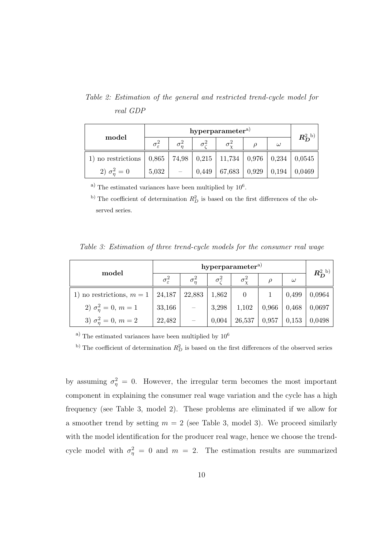Table 2: Estimation of the general and restricted trend-cycle model for real GDP

| model                                                                        | $\sigma_{\varepsilon}^2$ | $\sigma^2_{\zeta}$ |        |                                 | $\omega$ | $R_{D}^{\text{2 b}}$ |  |
|------------------------------------------------------------------------------|--------------------------|--------------------|--------|---------------------------------|----------|----------------------|--|
| 1) no restrictions   0,865   74,98   0,215   11,734   0,976   0,234   0,0545 |                          |                    |        |                                 |          |                      |  |
| 2) $\sigma_n^2 = 0$                                                          | 5,032                    | 0,449              | 67,683 | $\vert 0.929 \vert 0.194 \vert$ |          | 0,0469               |  |

a) The estimated variances have been multiplied by  $10^6$ .

<sup>b)</sup> The coefficient of determination  $R_D^2$  is based on the first differences of the observed series.

Table 3: Estimation of three trend-cycle models for the consumer real wage

|                             | hyperparameter <sup>a)</sup> |              |                     |                    |       |          |                  |
|-----------------------------|------------------------------|--------------|---------------------|--------------------|-------|----------|------------------|
| model                       | $\sigma_{\varepsilon}^2$     | $\sigma_n^2$ | $\sigma_{\gamma}^2$ | $\sigma_{\rm v}^2$ |       | $\omega$ | $R_D^{\rm 2~b)}$ |
| 1) no restrictions, $m = 1$ | 24,187                       | 22,883       | 1,862               | $\overline{0}$     |       | 0,499    | 0,0964           |
| 2) $\sigma_n^2 = 0, m = 1$  | 33,166                       |              | 3,298               | 1,102              | 0,966 | 0,468    | 0,0697           |
| 3) $\sigma_n^2 = 0, m = 2$  | 22,482                       |              | 0,004               | 26,537             | 0,957 | 0,153    | 0,0498           |

 $^{\rm a)}$  The estimated variances have been multiplied by  $10^6$ 

<sup>b)</sup> The coefficient of determination  $R_D^2$  is based on the first differences of the observed series

by assuming  $\sigma_{\eta}^2 = 0$ . However, the irregular term becomes the most important component in explaining the consumer real wage variation and the cycle has a high frequency (see Table 3, model 2). These problems are eliminated if we allow for a smoother trend by setting  $m = 2$  (see Table 3, model 3). We proceed similarly with the model identification for the producer real wage, hence we choose the trendcycle model with  $\sigma_{\eta}^2 = 0$  and  $m = 2$ . The estimation results are summarized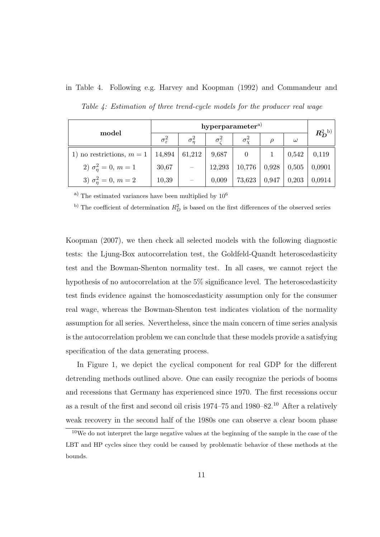|                                 | hyperparameter <sup>a)</sup> |              |                       |                    |        |          |                  |
|---------------------------------|------------------------------|--------------|-----------------------|--------------------|--------|----------|------------------|
| model                           | $\sigma_{\varepsilon}^2$     | $\sigma_n^2$ | $\sigma_{\epsilon}^2$ | $\sigma_{\rm v}^2$ | $\rho$ | $\omega$ | $R_D^{\rm 2~b)}$ |
| 1) no restrictions, $m = 1$     | 14,894                       | 61,212       | 9,687                 |                    |        | 0,542    | 0,119            |
| 2) $\sigma_{\eta}^2 = 0, m = 1$ | 30,67                        |              | 12,293                | 10,776             | 0,928  | 0,505    | 0,0901           |
| 3) $\sigma_n^2 = 0, m = 2$      | 10,39                        |              | 0,009                 | 73,623             | 0,947  | 0,203    | 0,0914           |

in Table 4. Following e.g. Harvey and Koopman (1992) and Commandeur and Table 4: Estimation of three trend-cycle models for the producer real wage

a) The estimated variances have been multiplied by  $10^6$ 

<sup>b)</sup> The coefficient of determination  $R_D^2$  is based on the first differences of the observed series

Koopman (2007), we then check all selected models with the following diagnostic tests: the Ljung-Box autocorrelation test, the Goldfeld-Quandt heteroscedasticity test and the Bowman-Shenton normality test. In all cases, we cannot reject the hypothesis of no autocorrelation at the 5% significance level. The heteroscedasticity test finds evidence against the homoscedasticity assumption only for the consumer real wage, whereas the Bowman-Shenton test indicates violation of the normality assumption for all series. Nevertheless, since the main concern of time series analysis is the autocorrelation problem we can conclude that these models provide a satisfying specification of the data generating process.

In Figure 1, we depict the cyclical component for real GDP for the different detrending methods outlined above. One can easily recognize the periods of booms and recessions that Germany has experienced since 1970. The first recessions occur as a result of the first and second oil crisis 1974–75 and 1980–82.<sup>10</sup> After a relatively weak recovery in the second half of the 1980s one can observe a clear boom phase

<sup>10</sup>We do not interpret the large negative values at the beginning of the sample in the case of the LBT and HP cycles since they could be caused by problematic behavior of these methods at the bounds.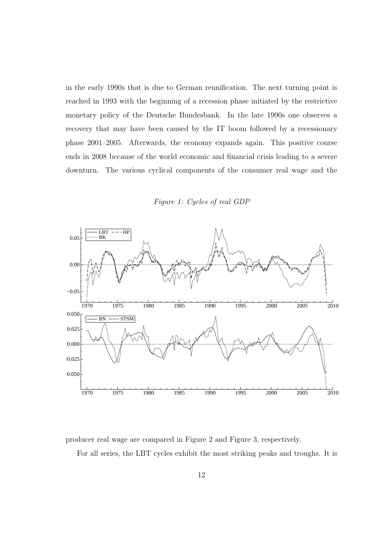in the early 1990s that is due to German reunification. The next turning point is reached in 1993 with the beginning of a recession phase initiated by the restrictive monetary policy of the Deutsche Bundesbank. In the late 1990s one observes a recovery that may have been caused by the IT boom followed by a recessionary phase 2001–2005. Afterwards, the economy expands again. This positive course ends in 2008 because of the world economic and financial crisis leading to a severe downturn. The various cyclical components of the consumer real wage and the





producer real wage are compared in Figure 2 and Figure 3, respectively.

For all series, the LBT cycles exhibit the most striking peaks and troughs. It is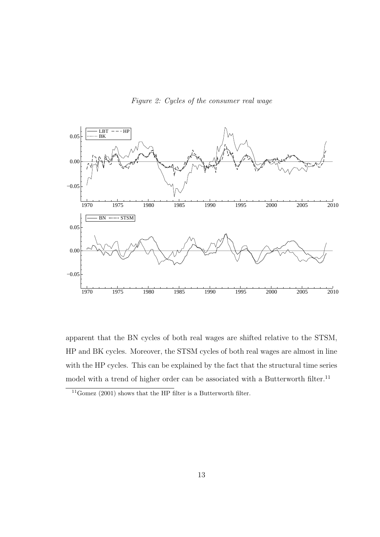

Figure 2: Cycles of the consumer real wage

apparent that the BN cycles of both real wages are shifted relative to the STSM, HP and BK cycles. Moreover, the STSM cycles of both real wages are almost in line with the HP cycles. This can be explained by the fact that the structural time series model with a trend of higher order can be associated with a Butterworth filter.<sup>11</sup>

 $^{11}$  Gomez (2001) shows that the HP filter is a Butterworth filter.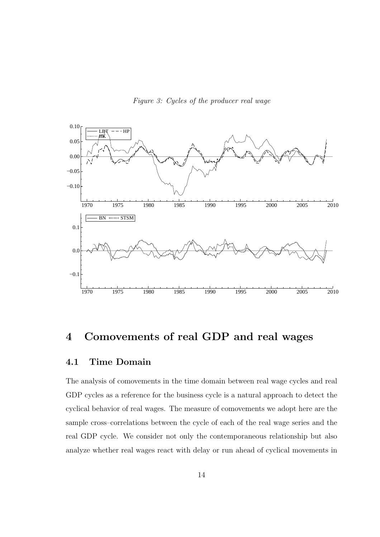Figure 3: Cycles of the producer real wage



## 4 Comovements of real GDP and real wages

### 4.1 Time Domain

The analysis of comovements in the time domain between real wage cycles and real GDP cycles as a reference for the business cycle is a natural approach to detect the cyclical behavior of real wages. The measure of comovements we adopt here are the sample cross–correlations between the cycle of each of the real wage series and the real GDP cycle. We consider not only the contemporaneous relationship but also analyze whether real wages react with delay or run ahead of cyclical movements in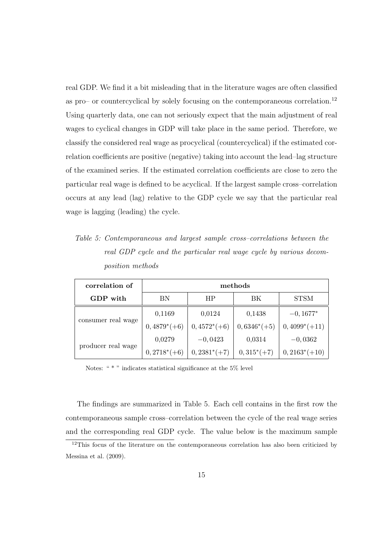real GDP. We find it a bit misleading that in the literature wages are often classified as pro– or countercyclical by solely focusing on the contemporaneous correlation.<sup>12</sup> Using quarterly data, one can not seriously expect that the main adjustment of real wages to cyclical changes in GDP will take place in the same period. Therefore, we classify the considered real wage as procyclical (countercyclical) if the estimated correlation coefficients are positive (negative) taking into account the lead–lag structure of the examined series. If the estimated correlation coefficients are close to zero the particular real wage is defined to be acyclical. If the largest sample cross–correlation occurs at any lead (lag) relative to the GDP cycle we say that the particular real wage is lagging (leading) the cycle.

Table 5: Contemporaneous and largest sample cross–correlations between the real GDP cycle and the particular real wage cycle by various decomposition methods

| correlation of     | methods        |                 |                |                 |  |  |  |  |
|--------------------|----------------|-----------------|----------------|-----------------|--|--|--|--|
| GDP with           | BN             | <b>HP</b><br>ΒK |                | <b>STSM</b>     |  |  |  |  |
|                    | 0,1169         | 0,0124          | 0,1438         |                 |  |  |  |  |
| consumer real wage | $0,4879^*(+6)$ | $0,4572^*(+6)$  | $0,6346^*(+5)$ | $0,4099^*(+11)$ |  |  |  |  |
|                    | 0,0279         | $-0,0423$       | 0,0314         | $-0,0362$       |  |  |  |  |
| producer real wage | $0,2718^*(+6)$ | $0,2381^*(+7)$  | $0,315^*(+7)$  | $0,2163^*(+10)$ |  |  |  |  |

Notes: " \* " indicates statistical significance at the 5% level

The findings are summarized in Table 5. Each cell contains in the first row the contemporaneous sample cross–correlation between the cycle of the real wage series and the corresponding real GDP cycle. The value below is the maximum sample

<sup>&</sup>lt;sup>12</sup>This focus of the literature on the contemporaneous correlation has also been criticized by Messina et al. (2009).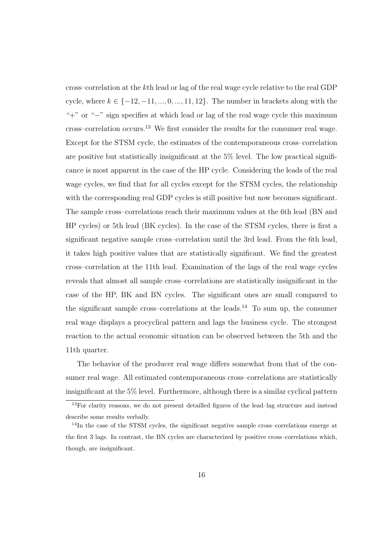cross–correlation at the kth lead or lag of the real wage cycle relative to the real GDP cycle, where  $k \in \{-12, -11, ..., 0, ..., 11, 12\}$ . The number in brackets along with the "+" or "−" sign specifies at which lead or lag of the real wage cycle this maximum cross–correlation occurs.<sup>13</sup> We first consider the results for the consumer real wage. Except for the STSM cycle, the estimates of the contemporaneous cross–correlation are positive but statistically insignificant at the 5% level. The low practical significance is most apparent in the case of the HP cycle. Considering the leads of the real wage cycles, we find that for all cycles except for the STSM cycles, the relationship with the corresponding real GDP cycles is still positive but now becomes significant. The sample cross–correlations reach their maximum values at the 6th lead (BN and HP cycles) or 5th lead (BK cycles). In the case of the STSM cycles, there is first a significant negative sample cross–correlation until the 3rd lead. From the 6th lead, it takes high positive values that are statistically significant. We find the greatest cross–correlation at the 11th lead. Examination of the lags of the real wage cycles reveals that almost all sample cross–correlations are statistically insignificant in the case of the HP, BK and BN cycles. The significant ones are small compared to the significant sample cross–correlations at the leads.<sup>14</sup> To sum up, the consumer real wage displays a procyclical pattern and lags the business cycle. The strongest reaction to the actual economic situation can be observed between the 5th and the 11th quarter.

The behavior of the producer real wage differs somewhat from that of the consumer real wage. All estimated contemporaneous cross–correlations are statistically insignificant at the 5% level. Furthermore, although there is a similar cyclical pattern

<sup>&</sup>lt;sup>13</sup>For clarity reasons, we do not present detailled figures of the lead–lag structure and instead describe some results verbally.

<sup>&</sup>lt;sup>14</sup>In the case of the STSM cycles, the significant negative sample cross-correlations emerge at the first 3 lags. In contrast, the BN cycles are characterized by positive cross–correlations which, though, are insignificant.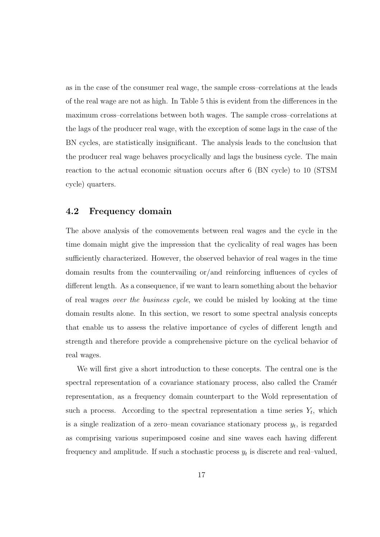as in the case of the consumer real wage, the sample cross–correlations at the leads of the real wage are not as high. In Table 5 this is evident from the differences in the maximum cross–correlations between both wages. The sample cross–correlations at the lags of the producer real wage, with the exception of some lags in the case of the BN cycles, are statistically insignificant. The analysis leads to the conclusion that the producer real wage behaves procyclically and lags the business cycle. The main reaction to the actual economic situation occurs after 6 (BN cycle) to 10 (STSM cycle) quarters.

#### 4.2 Frequency domain

The above analysis of the comovements between real wages and the cycle in the time domain might give the impression that the cyclicality of real wages has been sufficiently characterized. However, the observed behavior of real wages in the time domain results from the countervailing or/and reinforcing influences of cycles of different length. As a consequence, if we want to learn something about the behavior of real wages over the business cycle, we could be misled by looking at the time domain results alone. In this section, we resort to some spectral analysis concepts that enable us to assess the relative importance of cycles of different length and strength and therefore provide a comprehensive picture on the cyclical behavior of real wages.

We will first give a short introduction to these concepts. The central one is the spectral representation of a covariance stationary process, also called the Cramér representation, as a frequency domain counterpart to the Wold representation of such a process. According to the spectral representation a time series  $Y_t$ , which is a single realization of a zero–mean covariance stationary process  $y_t$ , is regarded as comprising various superimposed cosine and sine waves each having different frequency and amplitude. If such a stochastic process  $y_t$  is discrete and real-valued,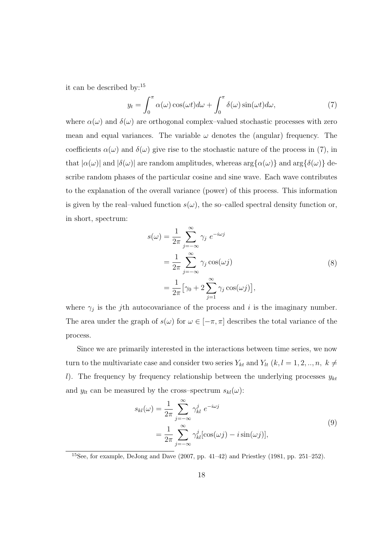it can be described by:<sup>15</sup>

$$
y_t = \int_0^{\pi} \alpha(\omega) \cos(\omega t) d\omega + \int_0^{\pi} \delta(\omega) \sin(\omega t) d\omega,
$$
 (7)

where  $\alpha(\omega)$  and  $\delta(\omega)$  are orthogonal complex-valued stochastic processes with zero mean and equal variances. The variable  $\omega$  denotes the (angular) frequency. The coefficients  $\alpha(\omega)$  and  $\delta(\omega)$  give rise to the stochastic nature of the process in (7), in that  $|\alpha(\omega)|$  and  $|\delta(\omega)|$  are random amplitudes, whereas  $\arg\{\alpha(\omega)\}\$  and  $\arg\{\delta(\omega)\}\$  describe random phases of the particular cosine and sine wave. Each wave contributes to the explanation of the overall variance (power) of this process. This information is given by the real–valued function  $s(\omega)$ , the so–called spectral density function or, in short, spectrum:

$$
s(\omega) = \frac{1}{2\pi} \sum_{j=-\infty}^{\infty} \gamma_j e^{-i\omega j}
$$
  
= 
$$
\frac{1}{2\pi} \sum_{j=-\infty}^{\infty} \gamma_j \cos(\omega j)
$$
  
= 
$$
\frac{1}{2\pi} [\gamma_0 + 2 \sum_{j=1}^{\infty} \gamma_j \cos(\omega j)],
$$
 (8)

where  $\gamma_j$  is the j<sup>th</sup> autocovariance of the process and i is the imaginary number. The area under the graph of  $s(\omega)$  for  $\omega \in [-\pi, \pi]$  describes the total variance of the process.

Since we are primarily interested in the interactions between time series, we now turn to the multivariate case and consider two series  $Y_{kt}$  and  $Y_{lt}$   $(k, l = 1, 2, ..., n, k \neq$ l). The frequency by frequency relationship between the underlying processes  $y_{kt}$ and  $y_{lt}$  can be measured by the cross–spectrum  $s_{kl}(\omega)$ :

$$
s_{kl}(\omega) = \frac{1}{2\pi} \sum_{j=-\infty}^{\infty} \gamma_{kl}^j e^{-i\omega j}
$$
  
= 
$$
\frac{1}{2\pi} \sum_{j=-\infty}^{\infty} \gamma_{kl}^j [\cos(\omega j) - i \sin(\omega j)],
$$
 (9)

 $15$ See, for example, DeJong and Dave (2007, pp. 41–42) and Priestley (1981, pp. 251–252).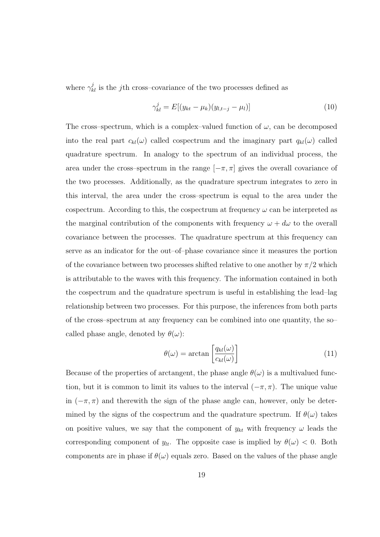where  $\gamma_{kl}^j$  is the *j*th cross–covariance of the two processes defined as

$$
\gamma_{kl}^j = E[(y_{kt} - \mu_k)(y_{l,t-j} - \mu_l)] \tag{10}
$$

The cross–spectrum, which is a complex–valued function of  $\omega$ , can be decomposed into the real part  $c_{kl}(\omega)$  called cospectrum and the imaginary part  $q_{kl}(\omega)$  called quadrature spectrum. In analogy to the spectrum of an individual process, the area under the cross–spectrum in the range  $[-\pi, \pi]$  gives the overall covariance of the two processes. Additionally, as the quadrature spectrum integrates to zero in this interval, the area under the cross–spectrum is equal to the area under the cospectrum. According to this, the cospectrum at frequency  $\omega$  can be interpreted as the marginal contribution of the components with frequency  $\omega + d\omega$  to the overall covariance between the processes. The quadrature spectrum at this frequency can serve as an indicator for the out–of–phase covariance since it measures the portion of the covariance between two processes shifted relative to one another by  $\pi/2$  which is attributable to the waves with this frequency. The information contained in both the cospectrum and the quadrature spectrum is useful in establishing the lead–lag relationship between two processes. For this purpose, the inferences from both parts of the cross–spectrum at any frequency can be combined into one quantity, the so– called phase angle, denoted by  $\theta(\omega)$ :

$$
\theta(\omega) = \arctan\left[\frac{q_{kl}(\omega)}{c_{kl}(\omega)}\right]
$$
\n(11)

Because of the properties of arctangent, the phase angle  $\theta(\omega)$  is a multivalued function, but it is common to limit its values to the interval  $(-\pi, \pi)$ . The unique value in  $(-\pi, \pi)$  and therewith the sign of the phase angle can, however, only be determined by the signs of the cospectrum and the quadrature spectrum. If  $\theta(\omega)$  takes on positive values, we say that the component of  $y_{kt}$  with frequency  $\omega$  leads the corresponding component of  $y_{lt}$ . The opposite case is implied by  $\theta(\omega) < 0$ . Both components are in phase if  $\theta(\omega)$  equals zero. Based on the values of the phase angle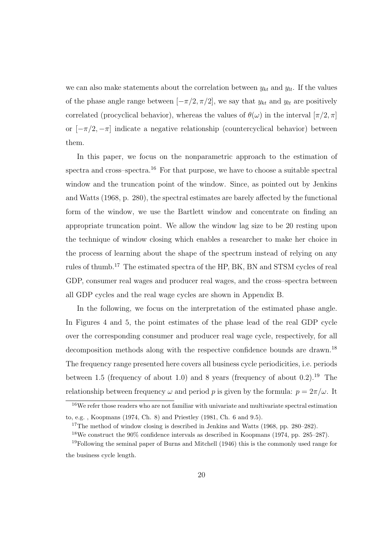we can also make statements about the correlation between  $y_{kt}$  and  $y_{lt}$ . If the values of the phase angle range between  $[-\pi/2, \pi/2]$ , we say that  $y_{kt}$  and  $y_{lt}$  are positively correlated (procyclical behavior), whereas the values of  $\theta(\omega)$  in the interval  $[\pi/2, \pi]$ or  $[-\pi/2, -\pi]$  indicate a negative relationship (countercyclical behavior) between them.

In this paper, we focus on the nonparametric approach to the estimation of spectra and cross–spectra.<sup>16</sup> For that purpose, we have to choose a suitable spectral window and the truncation point of the window. Since, as pointed out by Jenkins and Watts (1968, p. 280), the spectral estimates are barely affected by the functional form of the window, we use the Bartlett window and concentrate on finding an appropriate truncation point. We allow the window lag size to be 20 resting upon the technique of window closing which enables a researcher to make her choice in the process of learning about the shape of the spectrum instead of relying on any rules of thumb.<sup>17</sup> The estimated spectra of the HP, BK, BN and STSM cycles of real GDP, consumer real wages and producer real wages, and the cross–spectra between all GDP cycles and the real wage cycles are shown in Appendix B.

In the following, we focus on the interpretation of the estimated phase angle. In Figures 4 and 5, the point estimates of the phase lead of the real GDP cycle over the corresponding consumer and producer real wage cycle, respectively, for all decomposition methods along with the respective confidence bounds are drawn.<sup>18</sup> The frequency range presented here covers all business cycle periodicities, i.e. periods between 1.5 (frequency of about 1.0) and 8 years (frequency of about  $(0.2)$ .<sup>19</sup> The relationship between frequency  $\omega$  and period p is given by the formula:  $p = 2\pi/\omega$ . It

<sup>&</sup>lt;sup>16</sup>We refer those readers who are not familiar with univariate and multivariate spectral estimation to, e.g. , Koopmans (1974, Ch. 8) and Priestley (1981, Ch. 6 and 9.5).

<sup>&</sup>lt;sup>17</sup>The method of window closing is described in Jenkins and Watts (1968, pp. 280–282).

<sup>18</sup>We construct the 90% confidence intervals as described in Koopmans (1974, pp. 285–287).

<sup>19</sup>Following the seminal paper of Burns and Mitchell (1946) this is the commonly used range for the business cycle length.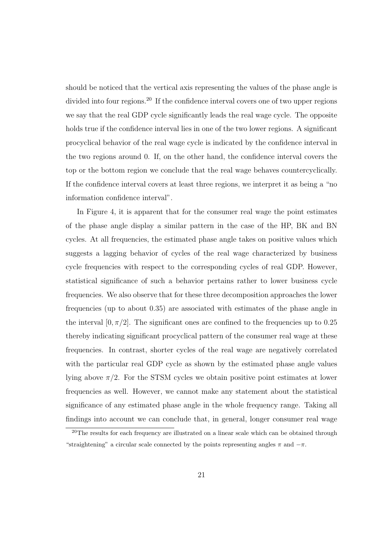should be noticed that the vertical axis representing the values of the phase angle is divided into four regions.<sup>20</sup> If the confidence interval covers one of two upper regions we say that the real GDP cycle significantly leads the real wage cycle. The opposite holds true if the confidence interval lies in one of the two lower regions. A significant procyclical behavior of the real wage cycle is indicated by the confidence interval in the two regions around 0. If, on the other hand, the confidence interval covers the top or the bottom region we conclude that the real wage behaves countercyclically. If the confidence interval covers at least three regions, we interpret it as being a "no information confidence interval".

In Figure 4, it is apparent that for the consumer real wage the point estimates of the phase angle display a similar pattern in the case of the HP, BK and BN cycles. At all frequencies, the estimated phase angle takes on positive values which suggests a lagging behavior of cycles of the real wage characterized by business cycle frequencies with respect to the corresponding cycles of real GDP. However, statistical significance of such a behavior pertains rather to lower business cycle frequencies. We also observe that for these three decomposition approaches the lower frequencies (up to about 0.35) are associated with estimates of the phase angle in the interval  $[0, \pi/2]$ . The significant ones are confined to the frequencies up to 0.25 thereby indicating significant procyclical pattern of the consumer real wage at these frequencies. In contrast, shorter cycles of the real wage are negatively correlated with the particular real GDP cycle as shown by the estimated phase angle values lying above  $\pi/2$ . For the STSM cycles we obtain positive point estimates at lower frequencies as well. However, we cannot make any statement about the statistical significance of any estimated phase angle in the whole frequency range. Taking all findings into account we can conclude that, in general, longer consumer real wage

<sup>&</sup>lt;sup>20</sup>The results for each frequency are illustrated on a linear scale which can be obtained through "straightening" a circular scale connected by the points representing angles  $\pi$  and  $-\pi$ .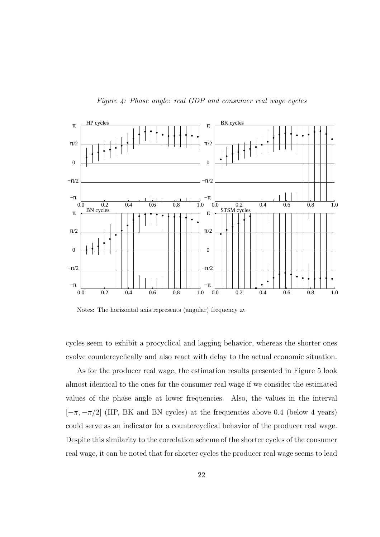



Notes: The horizontal axis represents (angular) frequency  $\omega$ .

cycles seem to exhibit a procyclical and lagging behavior, whereas the shorter ones evolve countercyclically and also react with delay to the actual economic situation.

As for the producer real wage, the estimation results presented in Figure 5 look almost identical to the ones for the consumer real wage if we consider the estimated values of the phase angle at lower frequencies. Also, the values in the interval  $[-\pi, -\pi/2]$  (HP, BK and BN cycles) at the frequencies above 0.4 (below 4 years) could serve as an indicator for a countercyclical behavior of the producer real wage. Despite this similarity to the correlation scheme of the shorter cycles of the consumer real wage, it can be noted that for shorter cycles the producer real wage seems to lead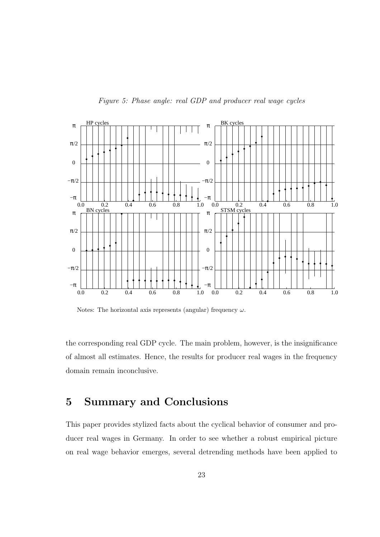

Figure 5: Phase angle: real GDP and producer real wage cycles

Notes: The horizontal axis represents (angular) frequency  $\omega$ .

the corresponding real GDP cycle. The main problem, however, is the insignificance of almost all estimates. Hence, the results for producer real wages in the frequency domain remain inconclusive.

## 5 Summary and Conclusions

This paper provides stylized facts about the cyclical behavior of consumer and producer real wages in Germany. In order to see whether a robust empirical picture on real wage behavior emerges, several detrending methods have been applied to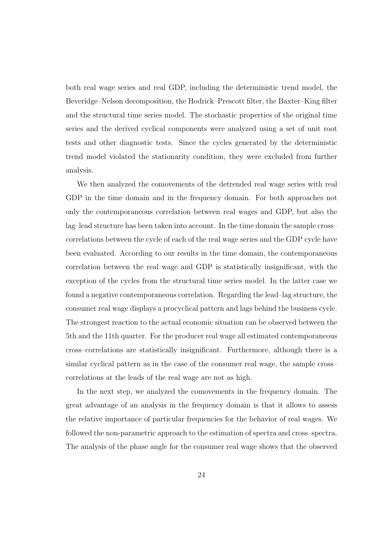both real wage series and real GDP, including the deterministic trend model, the Beveridge–Nelson decomposition, the Hodrick–Prescott filter, the Baxter–King filter and the structural time series model. The stochastic properties of the original time series and the derived cyclical components were analyzed using a set of unit root tests and other diagnostic tests. Since the cycles generated by the deterministic trend model violated the stationarity condition, they were excluded from further analysis.

We then analyzed the comovements of the detrended real wage series with real GDP in the time domain and in the frequency domain. For both approaches not only the contemporaneous correlation between real wages and GDP, but also the lag–lead structure has been taken into account. In the time domain the sample cross– correlations between the cycle of each of the real wage series and the GDP cycle have been evaluated. According to our results in the time domain, the contemporaneous correlation between the real wage and GDP is statistically insignificant, with the exception of the cycles from the structural time series model. In the latter case we found a negative contemporaneous correlation. Regarding the lead–lag structure, the consumer real wage displays a procyclical pattern and lags behind the business cycle. The strongest reaction to the actual economic situation can be observed between the 5th and the 11th quarter. For the producer real wage all estimated contemporaneous cross–correlations are statistically insignificant. Furthermore, although there is a similar cyclical pattern as in the case of the consumer real wage, the sample cross– correlations at the leads of the real wage are not as high.

In the next step, we analyzed the comovements in the frequency domain. The great advantage of an analysis in the frequency domain is that it allows to assess the relative importance of particular frequencies for the behavior of real wages. We followed the non-parametric approach to the estimation of spectra and cross–spectra. The analysis of the phase angle for the consumer real wage shows that the observed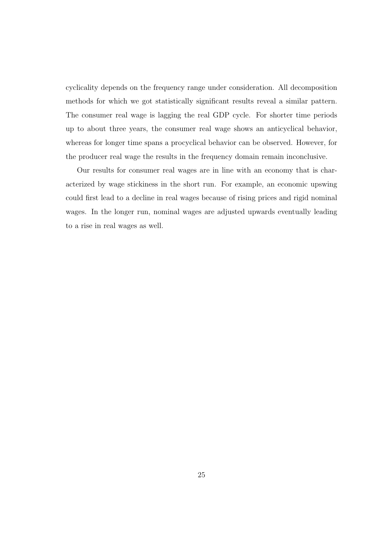cyclicality depends on the frequency range under consideration. All decomposition methods for which we got statistically significant results reveal a similar pattern. The consumer real wage is lagging the real GDP cycle. For shorter time periods up to about three years, the consumer real wage shows an anticyclical behavior, whereas for longer time spans a procyclical behavior can be observed. However, for the producer real wage the results in the frequency domain remain inconclusive.

Our results for consumer real wages are in line with an economy that is characterized by wage stickiness in the short run. For example, an economic upswing could first lead to a decline in real wages because of rising prices and rigid nominal wages. In the longer run, nominal wages are adjusted upwards eventually leading to a rise in real wages as well.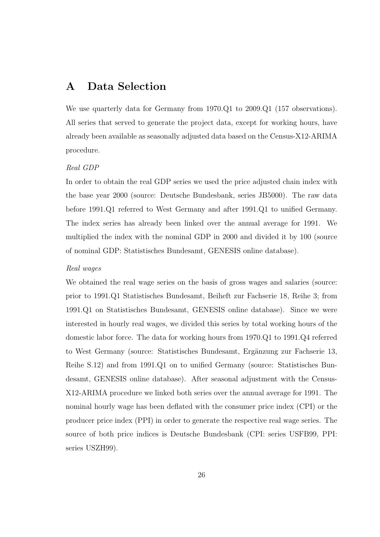## A Data Selection

We use quarterly data for Germany from 1970.Q1 to 2009.Q1 (157 observations). All series that served to generate the project data, except for working hours, have already been available as seasonally adjusted data based on the Census-X12-ARIMA procedure.

#### Real GDP

In order to obtain the real GDP series we used the price adjusted chain index with the base year 2000 (source: Deutsche Bundesbank, series JB5000). The raw data before 1991.Q1 referred to West Germany and after 1991.Q1 to unified Germany. The index series has already been linked over the annual average for 1991. We multiplied the index with the nominal GDP in 2000 and divided it by 100 (source of nominal GDP: Statistisches Bundesamt, GENESIS online database).

#### Real wages

We obtained the real wage series on the basis of gross wages and salaries (source: prior to 1991.Q1 Statistisches Bundesamt, Beiheft zur Fachserie 18, Reihe 3; from 1991.Q1 on Statistisches Bundesamt, GENESIS online database). Since we were interested in hourly real wages, we divided this series by total working hours of the domestic labor force. The data for working hours from 1970.Q1 to 1991.Q4 referred to West Germany (source: Statistisches Bundesamt, Ergänzung zur Fachserie 13, Reihe S.12) and from 1991.Q1 on to unified Germany (source: Statistisches Bundesamt, GENESIS online database). After seasonal adjustment with the Census-X12-ARIMA procedure we linked both series over the annual average for 1991. The nominal hourly wage has been deflated with the consumer price index (CPI) or the producer price index (PPI) in order to generate the respective real wage series. The source of both price indices is Deutsche Bundesbank (CPI: series USFB99, PPI: series USZH99).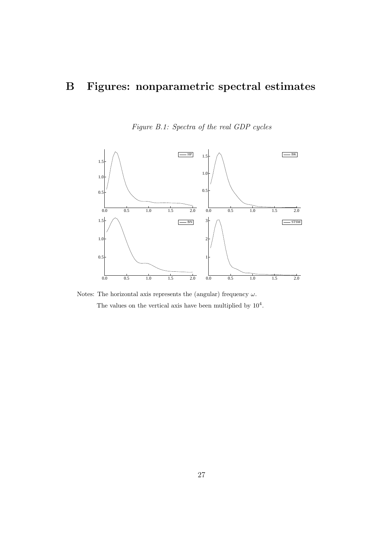## B Figures: nonparametric spectral estimates





Notes: The horizontal axis represents the (angular) frequency  $\omega$ . The values on the vertical axis have been multiplied by  $10<sup>4</sup>$ .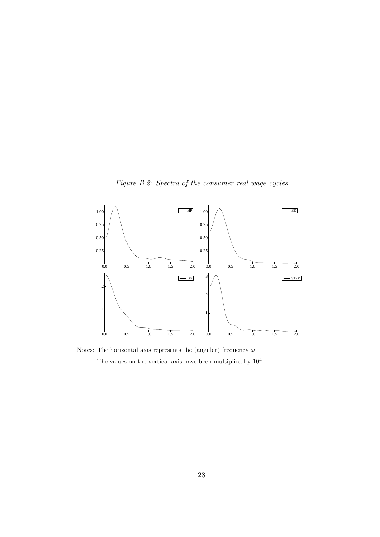Figure B.2: Spectra of the consumer real wage cycles



Notes: The horizontal axis represents the (angular) frequency  $\omega$ . The values on the vertical axis have been multiplied by  $10^4$ .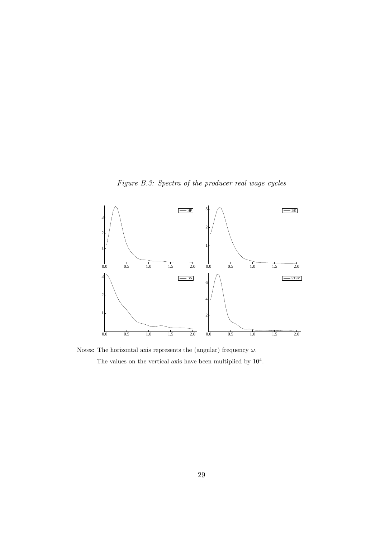Figure B.3: Spectra of the producer real wage cycles



Notes: The horizontal axis represents the (angular) frequency  $\omega$ . The values on the vertical axis have been multiplied by  $10^4$ .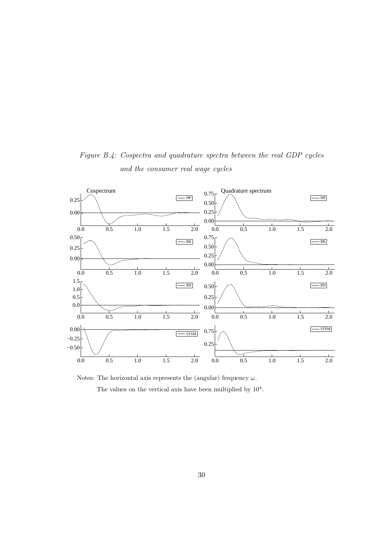

Figure B.4: Cospectra and quadrature spectra between the real GDP cycles and the consumer real wage cycles

Notes: The horizontal axis represents the (angular) frequency  $\omega$ . The values on the vertical axis have been multiplied by  $10^4$ .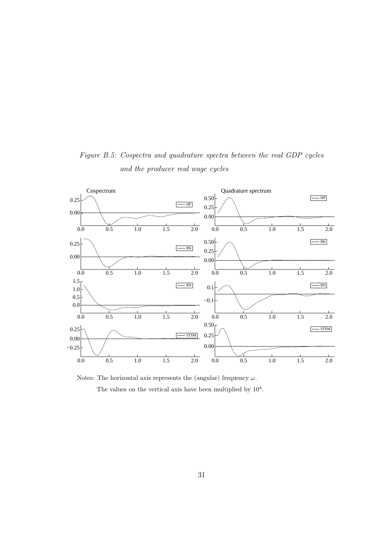

Figure B.5: Cospectra and quadrature spectra between the real GDP cycles and the producer real wage cycles

Notes: The horizontal axis represents the (angular) frequency  $\omega$ . The values on the vertical axis have been multiplied by  $10^4$ .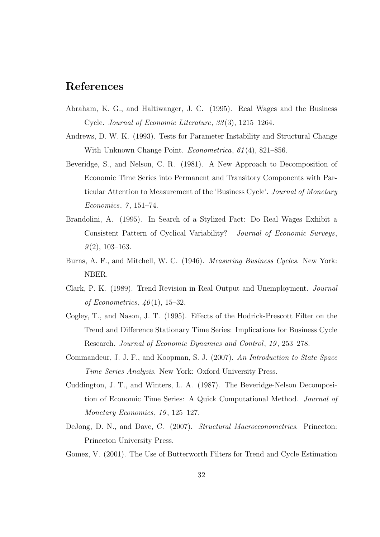## References

- Abraham, K. G., and Haltiwanger, J. C. (1995). Real Wages and the Business Cycle. Journal of Economic Literature, 33 (3), 1215–1264.
- Andrews, D. W. K. (1993). Tests for Parameter Instability and Structural Change With Unknown Change Point. *Econometrica*, 61(4), 821–856.
- Beveridge, S., and Nelson, C. R. (1981). A New Approach to Decomposition of Economic Time Series into Permanent and Transitory Components with Particular Attention to Measurement of the 'Business Cycle'. Journal of Monetary Economics, 7, 151-74.
- Brandolini, A. (1995). In Search of a Stylized Fact: Do Real Wages Exhibit a Consistent Pattern of Cyclical Variability? Journal of Economic Surveys,  $9(2)$ , 103-163.
- Burns, A. F., and Mitchell, W. C. (1946). Measuring Business Cycles. New York: NBER.
- Clark, P. K. (1989). Trend Revision in Real Output and Unemployment. Journal of Econometrics,  $40(1)$ , 15–32.
- Cogley, T., and Nason, J. T. (1995). Effects of the Hodrick-Prescott Filter on the Trend and Difference Stationary Time Series: Implications for Business Cycle Research. Journal of Economic Dynamics and Control, 19 , 253–278.
- Commandeur, J. J. F., and Koopman, S. J. (2007). An Introduction to State Space Time Series Analysis. New York: Oxford University Press.
- Cuddington, J. T., and Winters, L. A. (1987). The Beveridge-Nelson Decomposition of Economic Time Series: A Quick Computational Method. Journal of Monetary Economics, 19, 125–127.
- DeJong, D. N., and Dave, C. (2007). Structural Macroeconometrics. Princeton: Princeton University Press.
- Gomez, V. (2001). The Use of Butterworth Filters for Trend and Cycle Estimation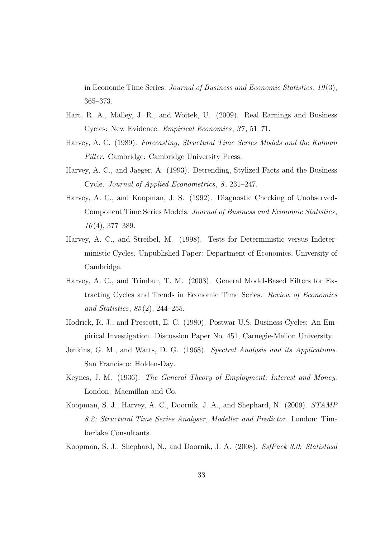in Economic Time Series. Journal of Business and Economic Statistics, 19 (3), 365–373.

- Hart, R. A., Malley, J. R., and Woitek, U. (2009). Real Earnings and Business Cycles: New Evidence. *Empirical Economics*, 37, 51–71.
- Harvey, A. C. (1989). Forecasting, Structural Time Series Models and the Kalman Filter. Cambridge: Cambridge University Press.
- Harvey, A. C., and Jaeger, A. (1993). Detrending, Stylized Facts and the Business Cycle. Journal of Applied Econometrics, 8, 231-247.
- Harvey, A. C., and Koopman, J. S. (1992). Diagnostic Checking of Unobserved-Component Time Series Models. Journal of Business and Economic Statistics,  $10(4)$ , 377–389.
- Harvey, A. C., and Streibel, M. (1998). Tests for Deterministic versus Indeterministic Cycles. Unpublished Paper: Department of Economics, University of Cambridge.
- Harvey, A. C., and Trimbur, T. M. (2003). General Model-Based Filters for Extracting Cycles and Trends in Economic Time Series. Review of Economics and Statistics, 85 (2), 244–255.
- Hodrick, R. J., and Prescott, E. C. (1980). Postwar U.S. Business Cycles: An Empirical Investigation. Discussion Paper No. 451, Carnegie-Mellon University.
- Jenkins, G. M., and Watts, D. G. (1968). Spectral Analysis and its Applications. San Francisco: Holden-Day.
- Keynes, J. M. (1936). The General Theory of Employment, Interest and Money. London: Macmillan and Co.
- Koopman, S. J., Harvey, A. C., Doornik, J. A., and Shephard, N. (2009). STAMP 8.2: Structural Time Series Analyser, Modeller and Predictor. London: Timberlake Consultants.

Koopman, S. J., Shephard, N., and Doornik, J. A. (2008). SsfPack 3.0: Statistical